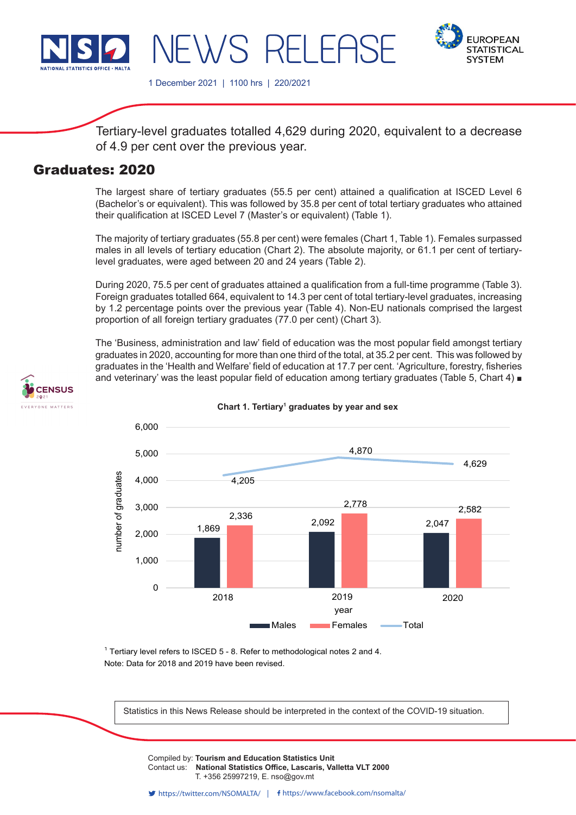

**EUROPEAN STATISTICAL SYSTEM** 

1 December 2021 | 1100 hrs | 220/2021

WS RF

Tertiary-level graduates totalled 4,629 during 2020, equivalent to a decrease of 4.9 per cent over the previous year.

# Graduates: 2020

The largest share of tertiary graduates (55.5 per cent) attained a qualification at ISCED Level 6 (Bachelor's or equivalent). This was followed by 35.8 per cent of total tertiary graduates who attained their qualification at ISCED Level 7 (Master's or equivalent) (Table 1).

The majority of tertiary graduates (55.8 per cent) were females (Chart 1, Table 1). Females surpassed males in all levels of tertiary education (Chart 2). The absolute majority, or 61.1 per cent of tertiarylevel graduates, were aged between 20 and 24 years (Table 2).

During 2020, 75.5 per cent of graduates attained a qualification from a full-time programme (Table 3). Foreign graduates totalled 664, equivalent to 14.3 per cent of total tertiary-level graduates, increasing by 1.2 percentage points over the previous year (Table 4). Non-EU nationals comprised the largest proportion of all foreign tertiary graduates (77.0 per cent) (Chart 3).

The 'Business, administration and law' field of education was the most popular field amongst tertiary graduates in 2020, accounting for more than one third of the total, at 35.2 per cent. This was followed by graduates in the 'Health and Welfare' field of education at 17.7 per cent. 'Agriculture, forestry, fisheries and veterinary' was the least popular field of education among tertiary graduates (Table 5, Chart 4) ■





**Chart 1. Tertiary<sup>1</sup> graduates by year and sex**

 $^{\text{1}}$  Tertiary level refers to ISCED 5 - 8. Refer to methodological notes 2 and 4. Note: Data for 2018 and 2019 have been revised.

Statistics in this News Release should be interpreted in the context of the COVID-19 situation.

Compiled by: **Tourism and Education Statistics Unit**<br>Contact use. **National Statistics Office, Locatric Vallatte VLT 2000** Contact us: National Statistics Office, Lascaris, Valletta VLT 2000  $\sum_{i=1}^{n} \sum_{i=1}^{n} \sum_{j=1}^{n} \sum_{j=1}^{n} \sum_{j=1}^{n} \sum_{j=1}^{n}$ T. +356 25997219, E. nso@gov.mt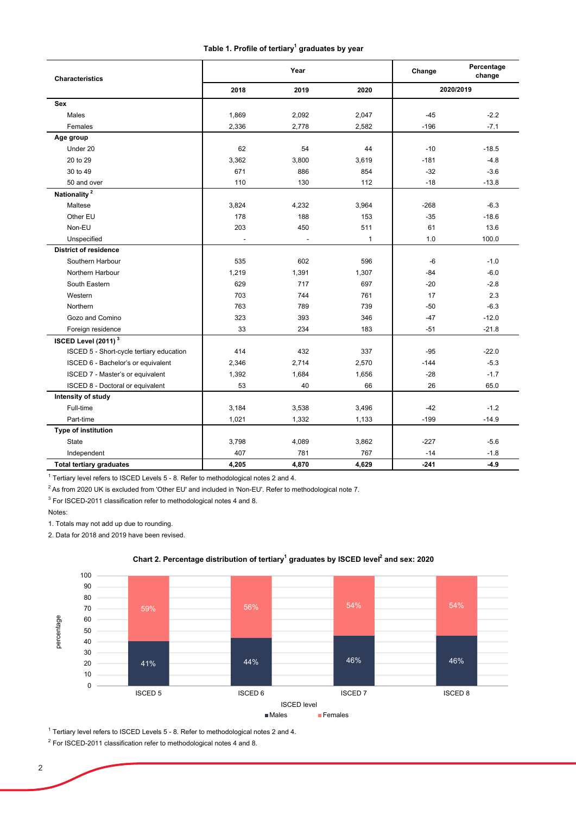### **Table 1. Profile of tertiary1 graduates by year**

| <b>Characteristics</b>                   |       | Year  |              | Change | Percentage<br>change |
|------------------------------------------|-------|-------|--------------|--------|----------------------|
|                                          | 2018  | 2019  | 2020         |        | 2020/2019            |
| Sex                                      |       |       |              |        |                      |
| <b>Males</b>                             | 1,869 | 2,092 | 2,047        | $-45$  | $-2.2$               |
| Females                                  | 2,336 | 2,778 | 2,582        | $-196$ | $-7.1$               |
| Age group                                |       |       |              |        |                      |
| Under 20                                 | 62    | 54    | 44           | $-10$  | $-18.5$              |
| 20 to 29                                 | 3,362 | 3,800 | 3,619        | $-181$ | $-4.8$               |
| 30 to 49                                 | 671   | 886   | 854          | $-32$  | $-3.6$               |
| 50 and over                              | 110   | 130   | 112          | $-18$  | $-13.8$              |
| Nationality <sup>2</sup>                 |       |       |              |        |                      |
| Maltese                                  | 3,824 | 4,232 | 3,964        | $-268$ | $-6.3$               |
| Other EU                                 | 178   | 188   | 153          | $-35$  | $-18.6$              |
| Non-EU                                   | 203   | 450   | 511          | 61     | 13.6                 |
| Unspecified                              |       |       | $\mathbf{1}$ | 1.0    | 100.0                |
| <b>District of residence</b>             |       |       |              |        |                      |
| Southern Harbour                         | 535   | 602   | 596          | $-6$   | $-1.0$               |
| Northern Harbour                         | 1,219 | 1,391 | 1,307        | $-84$  | $-6.0$               |
| South Eastern                            | 629   | 717   | 697          | $-20$  | $-2.8$               |
| Western                                  | 703   | 744   | 761          | 17     | 2.3                  |
| Northern                                 | 763   | 789   | 739          | $-50$  | $-6.3$               |
| Gozo and Comino                          | 323   | 393   | 346          | $-47$  | $-12.0$              |
| Foreign residence                        | 33    | 234   | 183          | $-51$  | $-21.8$              |
| ISCED Level (2011) <sup>3</sup>          |       |       |              |        |                      |
| ISCED 5 - Short-cycle tertiary education | 414   | 432   | 337          | $-95$  | $-22.0$              |
| ISCED 6 - Bachelor's or equivalent       | 2,346 | 2,714 | 2,570        | $-144$ | $-5.3$               |
| ISCED 7 - Master's or equivalent         | 1,392 | 1,684 | 1,656        | $-28$  | $-1.7$               |
| ISCED 8 - Doctoral or equivalent         | 53    | 40    | 66           | 26     | 65.0                 |
| Intensity of study                       |       |       |              |        |                      |
| Full-time                                | 3,184 | 3,538 | 3,496        | $-42$  | $-1.2$               |
| Part-time                                | 1,021 | 1,332 | 1,133        | $-199$ | $-14.9$              |
| Type of institution                      |       |       |              |        |                      |
| <b>State</b>                             | 3,798 | 4,089 | 3,862        | $-227$ | $-5.6$               |
| Independent                              | 407   | 781   | 767          | $-14$  | $-1.8$               |
| <b>Total tertiary graduates</b>          | 4,205 | 4,870 | 4,629        | $-241$ | $-4.9$               |

 $^{\rm 1}$  Tertiary level refers to ISCED Levels 5 - 8. Refer to methodological notes 2 and 4.

<sup>2</sup> As from 2020 UK is excluded from 'Other EU' and included in 'Non-EU'. Refer to methodological note 7.

 $^3$  For ISCED-2011 classification refer to methodological notes 4 and 8.

Notes:

1. Totals may not add up due to rounding.

2. Data for 2018 and 2019 have been revised.



### **Chart 2. Percentage distribution of tertiary1 graduates by ISCED level2 and sex: 2020**

 $^{\rm 1}$  Tertiary level refers to ISCED Levels 5 - 8. Refer to methodological notes 2 and 4.

 $^2$  For ISCED-2011 classification refer to methodological notes 4 and 8.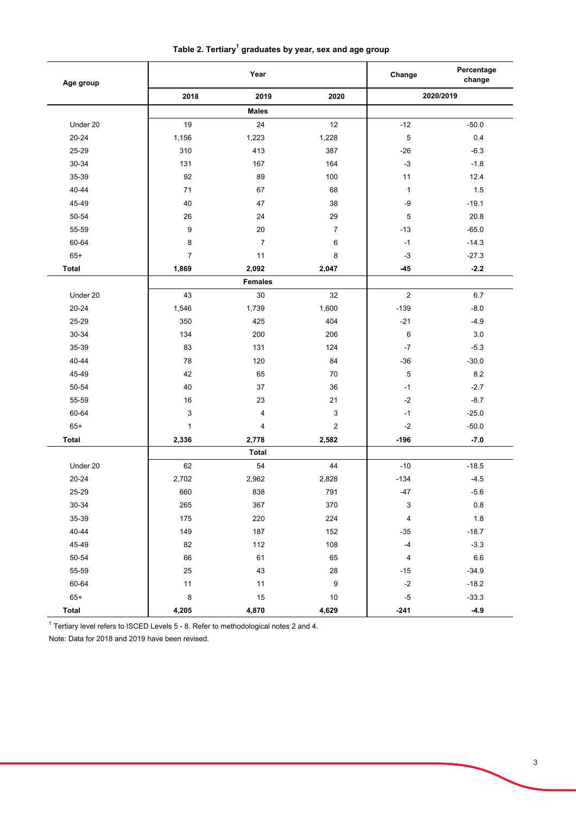|  | Table 2. Tertiary $^1$ graduates by year, sex and age group |
|--|-------------------------------------------------------------|
|--|-------------------------------------------------------------|

| Age group    |                | Year           |                  | Change                    | Percentage<br>change |  |  |
|--------------|----------------|----------------|------------------|---------------------------|----------------------|--|--|
|              | 2018           | 2019           | 2020             |                           | 2020/2019            |  |  |
|              |                | <b>Males</b>   |                  |                           |                      |  |  |
| Under 20     | 19             | 24             | 12               | $-12$                     | $-50.0$              |  |  |
| 20-24        | 1,156          | 1,223          | 1,228            | $\mathbf 5$               | 0.4                  |  |  |
| 25-29        | 310            | 413            | 387              | $-26$                     | $-6.3$               |  |  |
| 30-34        | 131            | 167            | 164              | $-3$                      | $-1.8$               |  |  |
| 35-39        | 92             | 89             | 100              | 11                        | 12.4                 |  |  |
| 40-44        | 71             | 67             | 68               | $\mathbf{1}$              | 1.5                  |  |  |
| 45-49        | 40             | 47             | 38               | $-9$                      | $-19.1$              |  |  |
| 50-54        | 26             | 24             | 29               | $\mathbf 5$               | 20.8                 |  |  |
| 55-59        | 9              | 20             | 7                | $-13$                     | $-65.0$              |  |  |
| 60-64        | 8              | $\overline{7}$ | 6                | $-1$                      | $-14.3$              |  |  |
| $65+$        | $\overline{7}$ | 11             | 8                | $-3$                      | $-27.3$              |  |  |
| <b>Total</b> | 1,869          | 2,092          | 2,047            | $-45$                     | $-2.2$               |  |  |
|              |                | <b>Females</b> |                  |                           |                      |  |  |
| Under 20     | 43             | 30             | 32               | $\overline{2}$            | 6.7                  |  |  |
| 20-24        | 1,546          | 1,739          | 1,600            | $-139$                    | $-8.0$               |  |  |
| 25-29        | 350            | 425            | 404              | $-21$                     | $-4.9$               |  |  |
| 30-34        | 134            | 200            | 206              | 6                         | 3.0                  |  |  |
| 35-39        | 83             | 131            | 124              | $-7$                      | $-5.3$               |  |  |
| 40-44        | 78             | 120            | 84               | $-36$                     | $-30.0$              |  |  |
| 45-49        | 42             | 65             | $70\,$           | $\mathbf 5$               | $8.2\,$              |  |  |
| 50-54        | 40             | 37             | 36               | $-1$                      | $-2.7$               |  |  |
| 55-59        | 16             | 23             | 21               | $-2$                      | $-8.7$               |  |  |
| 60-64        | 3              | 4              | 3                | $-1$                      | $-25.0$              |  |  |
| $65+$        | $\mathbf{1}$   | $\overline{4}$ | 2                | $-2$                      | $-50.0$              |  |  |
| <b>Total</b> | 2,336          | 2,778          | 2,582            | $-196$                    | $-7.0$               |  |  |
|              | <b>Total</b>   |                |                  |                           |                      |  |  |
| Under 20     | 62             | 54             | 44               | $-10$                     | $-18.5$              |  |  |
| 20-24        | 2,702          | 2,962          | 2,828            | $-134$                    | $-4.5$               |  |  |
| 25-29        | 660            | 838            | 791              | $-47$                     | $-5.6$               |  |  |
| 30-34        | 265            | 367            | 370              | $\ensuremath{\mathsf{3}}$ | 0.8                  |  |  |
| 35-39        | 175            | 220            | 224              | $\pmb{4}$                 | $1.8$                |  |  |
| $40 - 44$    | 149            | 187            | 152              | $-35$                     | $-18.7$              |  |  |
| 45-49        | 82             | 112            | 108              | $\mathcal{A}$             | $-3.3$               |  |  |
| $50 - 54$    | 66             | 61             | 65               | $\overline{4}$            | 6.6                  |  |  |
| 55-59        | 25             | 43             | 28               | $-15$                     | $-34.9$              |  |  |
| 60-64        | 11             | 11             | $\boldsymbol{9}$ | $\textnormal{-}2$         | $-18.2$              |  |  |
| $65+$        | $\bf 8$        | $15\,$         | $10\,$           | $-5$                      | $-33.3$              |  |  |
| <b>Total</b> | 4,205          | 4,870          | 4,629            | $-241$                    | $-4.9$               |  |  |

 $^{\rm 1}$  Tertiary level refers to ISCED Levels 5 - 8. Refer to methodological notes 2 and 4.

Note: Data for 2018 and 2019 have been revised.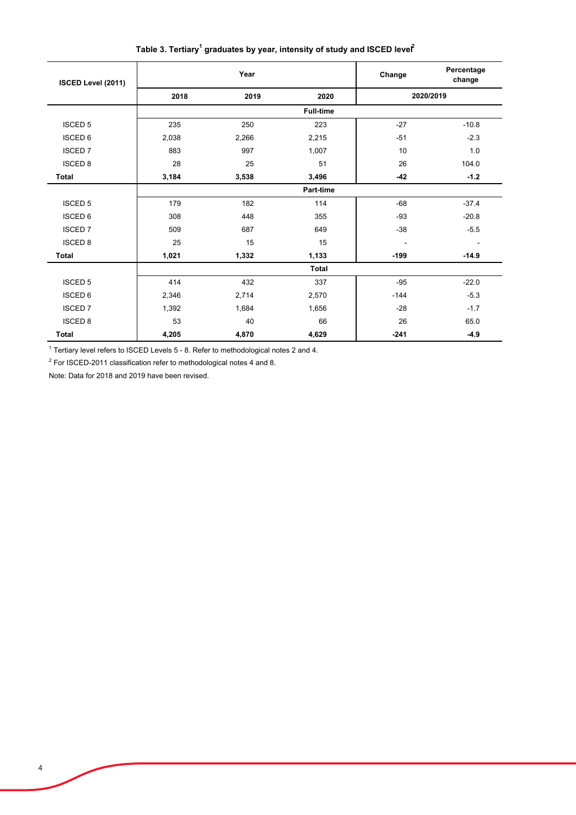**Change Percentage change 2018 2019 2020** ISCED 5 235 250 223 -27 -10.8 ISCED 6 2,038 2,266 2,215 -51 -2.3 ISCED 7 | 883 997 1,007 | 10 1.0  $\text{ISCED 8}$  28 25 51 26 26 104.0 **Total 3,184 3,538 3,496 -42 -1.2** ISCED 5 179 182 114 -68 -37.4 ISCED 6 | 308 448 355 | -93 -20.8  $\text{ISCED 7} \quad \text{I} \quad \text{509} \quad \text{687} \quad \text{649} \quad \text{I} \quad \text{-38} \quad \text{-5.5}$ ISCED 8 25 15 15 - - **Total 1,021 1,332 1,133 -199 -14.9** ISCED 5 414 432 337 -95 -22.0 ISCED 6 2,346 2,714 2,570 -144 -5.3 ISCED 7 1,392 1,684 1,656 -28 -1.7 ISCED 8 53 40 66 26 65.0 **Total 4,205 4,870 4,629 -241 -4.9 Part-time Total Year 2020/2019 ISCED Level (2011) Full-time** 

Table 3. Tertiary<sup>1</sup> graduates by year, intensity of study and ISCED leve**r**<sup>2</sup>

 $^1$  Tertiary level refers to ISCED Levels 5 - 8. Refer to methodological notes 2 and 4.

 $^2$  For ISCED-2011 classification refer to methodological notes 4 and 8.

Note: Data for 2018 and 2019 have been revised.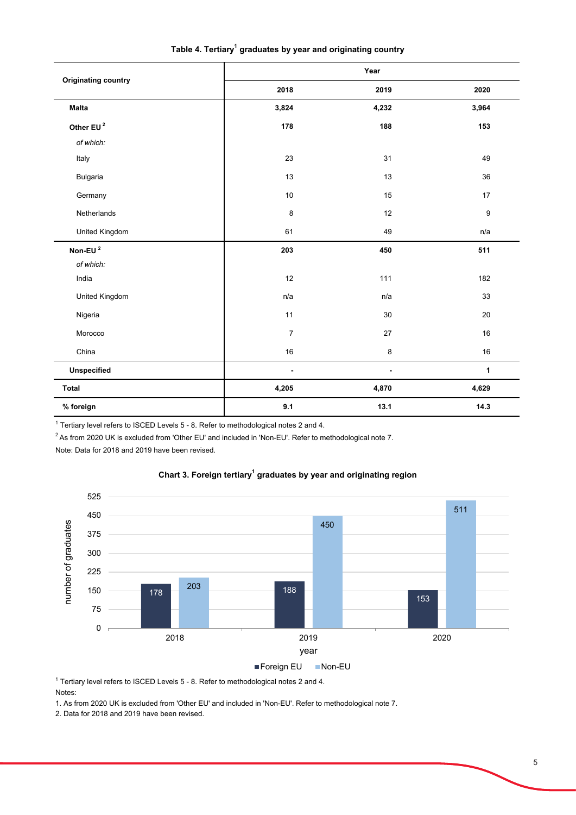|                            | Year                     |                          |                  |  |  |
|----------------------------|--------------------------|--------------------------|------------------|--|--|
| <b>Originating country</b> | 2018                     | 2019                     | 2020             |  |  |
| <b>Malta</b>               | 3,824                    | 4,232                    | 3,964            |  |  |
| Other EU <sup>2</sup>      | 178                      | 188                      | 153              |  |  |
| of which:                  |                          |                          |                  |  |  |
| Italy                      | 23                       | 31                       | 49               |  |  |
| Bulgaria                   | 13                       | 13                       | 36               |  |  |
| Germany                    | 10                       | 15                       | 17               |  |  |
| Netherlands                | $\bf 8$                  | 12                       | $\boldsymbol{9}$ |  |  |
| United Kingdom             | 61                       | 49                       | n/a              |  |  |
| Non-EU <sup>2</sup>        | 203                      | 450                      | 511              |  |  |
| of which:                  |                          |                          |                  |  |  |
| India                      | 12                       | 111                      | 182              |  |  |
| United Kingdom             | n/a                      | n/a                      | 33               |  |  |
| Nigeria                    | 11                       | 30                       | 20               |  |  |
| Morocco                    | $\overline{7}$           | 27                       | 16               |  |  |
| China                      | $16\,$                   | $\bf 8$                  | 16               |  |  |
| Unspecified                | $\overline{\phantom{a}}$ | $\overline{\phantom{a}}$ | $\mathbf 1$      |  |  |
| <b>Total</b>               | 4,205                    | 4,870                    | 4,629            |  |  |
| % foreign                  | 9.1                      | 13.1                     | 14.3             |  |  |

Table 4. Tertiary<sup>1</sup> graduates by year and originating country

 $1$  Tertiary level refers to ISCED Levels 5 - 8. Refer to methodological notes 2 and 4.

<sup>2</sup> As from 2020 UK is excluded from 'Other EU' and included in 'Non-EU'. Refer to methodological note 7.

Note: Data for 2018 and 2019 have been revised.



### **Chart 3. Foreign tertiary<sup>1</sup> graduates by year and originating region**

 $1$  Tertiary level refers to ISCED Levels 5 - 8. Refer to methodological notes 2 and 4.

1. As from 2020 UK is excluded from 'Other EU' and included in 'Non-EU'. Refer to methodological note 7.

2. Data for 2018 and 2019 have been revised.

Notes: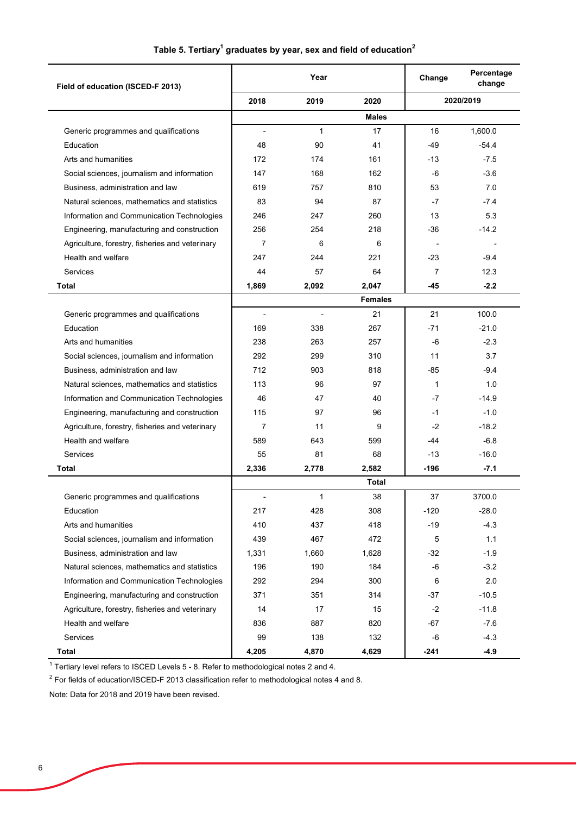| Field of education (ISCED-F 2013)               |                              | Year         |                | Change | Percentage<br>change |
|-------------------------------------------------|------------------------------|--------------|----------------|--------|----------------------|
|                                                 | 2018                         | 2019         | 2020           |        | 2020/2019            |
|                                                 |                              |              | <b>Males</b>   |        |                      |
| Generic programmes and qualifications           | $\qquad \qquad \blacksquare$ | $\mathbf{1}$ | 17             | 16     | 1,600.0              |
| Education                                       | 48                           | 90           | 41             | -49    | $-54.4$              |
| Arts and humanities                             | 172                          | 174          | 161            | -13    | $-7.5$               |
| Social sciences, journalism and information     | 147                          | 168          | 162            | -6     | $-3.6$               |
| Business, administration and law                | 619                          | 757          | 810            | 53     | 7.0                  |
| Natural sciences, mathematics and statistics    | 83                           | 94           | 87             | -7     | $-7.4$               |
| Information and Communication Technologies      | 246                          | 247          | 260            | 13     | 5.3                  |
| Engineering, manufacturing and construction     | 256                          | 254          | 218            | -36    | $-14.2$              |
| Agriculture, forestry, fisheries and veterinary | $\overline{7}$               | 6            | 6              |        |                      |
| Health and welfare                              | 247                          | 244          | 221            | -23    | $-9.4$               |
| <b>Services</b>                                 | 44                           | 57           | 64             | 7      | 12.3                 |
| Total                                           | 1,869                        | 2,092        | 2,047          | -45    | $-2.2$               |
|                                                 |                              |              | <b>Females</b> |        |                      |
| Generic programmes and qualifications           |                              |              | 21             | 21     | 100.0                |
| Education                                       | 169                          | 338          | 267            | -71    | $-21.0$              |
| Arts and humanities                             | 238                          | 263          | 257            | -6     | $-2.3$               |
| Social sciences, journalism and information     | 292                          | 299          | 310            | 11     | 3.7                  |
| Business, administration and law                | 712                          | 903          | 818            | -85    | $-9.4$               |
| Natural sciences, mathematics and statistics    | 113                          | 96           | 97             | 1      | 1.0                  |
| Information and Communication Technologies      | 46                           | 47           | 40             | -7     | $-14.9$              |
| Engineering, manufacturing and construction     | 115                          | 97           | 96             | $-1$   | $-1.0$               |
| Agriculture, forestry, fisheries and veterinary | 7                            | 11           | 9              | $-2$   | $-18.2$              |
| Health and welfare                              | 589                          | 643          | 599            | -44    | $-6.8$               |
| Services                                        | 55                           | 81           | 68             | -13    | $-16.0$              |
| Total                                           | 2,336                        | 2,778        | 2,582          | -196   | $-7.1$               |
|                                                 |                              |              | Total          |        |                      |
| Generic programmes and qualifications           |                              | 1            | 38             | 37     | 3700.0               |
| Education                                       | 217                          | 428          | 308            | $-120$ | $-28.0$              |
| Arts and humanities                             | 410                          | 437          | 418            | $-19$  | $-4.3$               |
| Social sciences, journalism and information     | 439                          | 467          | 472            | 5      | 1.1                  |
| Business, administration and law                | 1,331                        | 1,660        | 1,628          | -32    | $-1.9$               |
| Natural sciences, mathematics and statistics    | 196                          | 190          | 184            | -6     | $-3.2$               |
| Information and Communication Technologies      | 292                          | 294          | 300            | 6      | 2.0                  |
| Engineering, manufacturing and construction     | 371                          | 351          | 314            | -37    | $-10.5$              |
| Agriculture, forestry, fisheries and veterinary | 14                           | 17           | 15             | $-2$   | $-11.8$              |
| Health and welfare                              | 836                          | 887          | 820            | -67    | $-7.6$               |
| <b>Services</b>                                 | 99                           | 138          | 132            | -6     | $-4.3$               |
| <b>Total</b>                                    | 4,205                        | 4,870        | 4,629          | -241   | $-4.9$               |

## Table 5. Tertiary<sup>1</sup> graduates by year, sex and field of education<sup>2</sup>

 $^{\rm 1}$  Tertiary level refers to ISCED Levels 5 - 8. Refer to methodological notes 2 and 4.

 $^{\rm 2}$  For fields of education/ISCED-F 2013 classification refer to methodological notes 4 and 8.

Note: Data for 2018 and 2019 have been revised.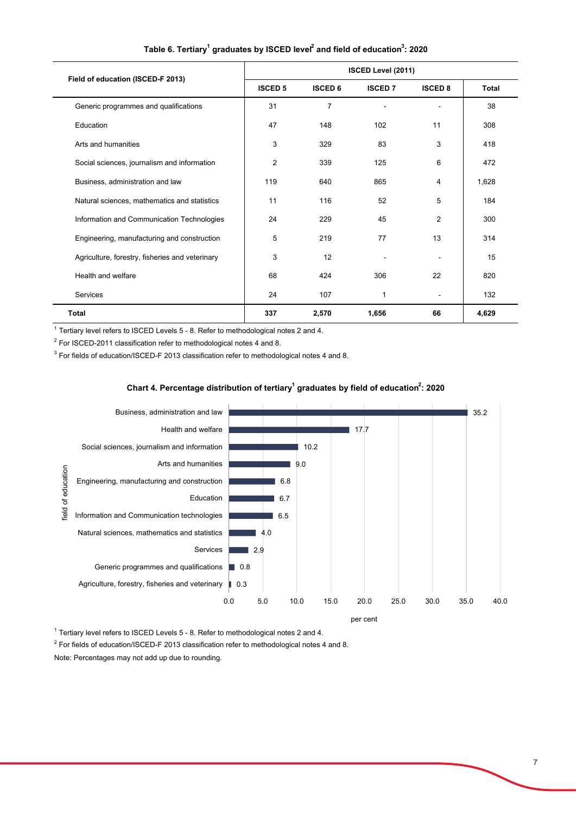| Field of education (ISCED-F 2013)               | ISCED Level (2011) |                |                |                |              |  |
|-------------------------------------------------|--------------------|----------------|----------------|----------------|--------------|--|
|                                                 | <b>ISCED 5</b>     | <b>ISCED 6</b> | <b>ISCED 7</b> | <b>ISCED 8</b> | <b>Total</b> |  |
| Generic programmes and qualifications           | 31                 | $\overline{7}$ |                |                | 38           |  |
| Education                                       | 47                 | 148            | 102            | 11             | 308          |  |
| Arts and humanities                             | 3                  | 329            | 83             | 3              | 418          |  |
| Social sciences, journalism and information     | $\overline{2}$     | 339            | 125            | 6              | 472          |  |
| Business, administration and law                | 119                | 640            | 865            | 4              | 1,628        |  |
| Natural sciences, mathematics and statistics    | 11                 | 116            | 52             | 5              | 184          |  |
| Information and Communication Technologies      | 24                 | 229            | 45             | $\overline{2}$ | 300          |  |
| Engineering, manufacturing and construction     | 5                  | 219            | 77             | 13             | 314          |  |
| Agriculture, forestry, fisheries and veterinary | 3                  | 12             |                |                | 15           |  |
| Health and welfare                              | 68                 | 424            | 306            | 22             | 820          |  |
| Services                                        | 24                 | 107            | 1              | $\blacksquare$ | 132          |  |
| Total                                           | 337                | 2,570          | 1,656          | 66             | 4,629        |  |

### **Table 6. Tertiary1 graduates by ISCED level2 and field of education3 : 2020**

 $^{\rm 1}$  Tertiary level refers to ISCED Levels 5 - 8. Refer to methodological notes 2 and 4.

 $^{\rm 2}$  For ISCED-2011 classification refer to methodological notes 4 and 8.

 $^3$  For fields of education/ISCED-F 2013 classification refer to methodological notes 4 and 8.

### Chart 4. Percentage distribution of tertiary<sup>1</sup> graduates by field of education<sup>2</sup>: 2020



 $^{\rm 1}$  Tertiary level refers to ISCED Levels 5 - 8. Refer to methodological notes 2 and 4.

 $^{\rm 2}$  For fields of education/ISCED-F 2013 classification refer to methodological notes 4 and 8.

Note: Percentages may not add up due to rounding.